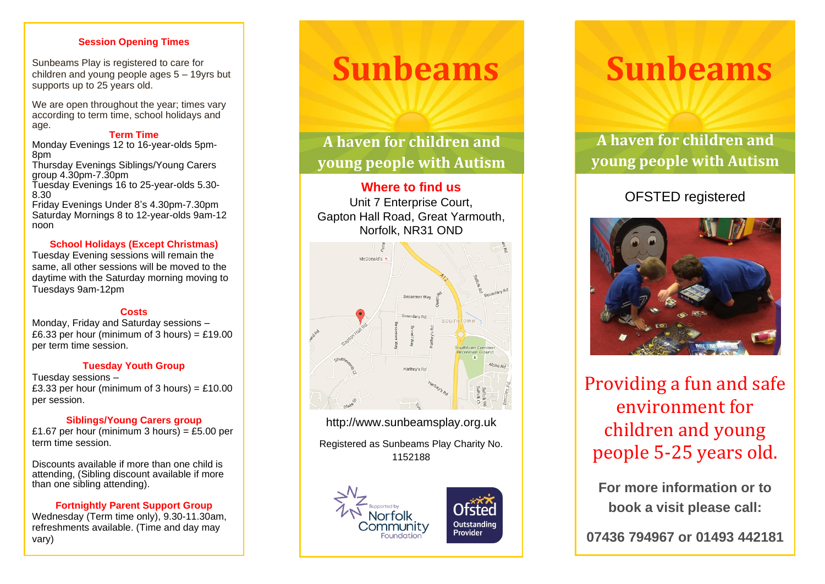## **Session Opening Times**

Sunbeams Play is registered to care for children and young people ages 5 – 19yrs but supports up to 25 years old.

We are open throughout the year; times vary according to term time, school holidays and age.

### **Term Time**

Monday Evenings 12 to 16-year-olds 5pm-8pm

Thursday Evenings Siblings/Young Carers group 4.30pm -7.30pm

Tuesday Evenings 16 to 25 -year -olds 5.30 - 8.30

Friday Evenings Under 8 's 4.30pm -7.30pm Saturday Mornings 8 to 12-year-olds 9am-12 noon

## **School Holidays (Except Christmas)**

Tuesday Evening sessions will remain the same , all other sessions will be moved to the daytime with the Saturday morning moving to Tuesdays 9am -12pm

## **Costs**

Monday, Friday and Saturday sessions – £6.33 per hour (minimum of 3 hours) = £19.00 per term time session.

## **Tuesday Youth Group**

Tuesday sessions – £3.33 per hour (minimum of 3 hours) =  $£10.00$ per session.

## **Siblings/Young Carers group**

£1.67 per hour (minimum 3 hours) = £5.00 per term time session.

Discounts available if more than one child is attending, (Sibling discount available if more than one sibling attending).

## **Fortnightly Parent Support Group**

Wednesday (Term time only), 9.30 -11.30am, refreshments available. (Time and day may vary)

# **Sunbeams**

**A haven for children and young people with Autism**

## **Where to find us**

Unit 7 Enterprise Court , Gapton Hall Road , Great Yarmouth , Norfolk, NR31 OND



http://www.sunbeamsplay.org.uk

Registered as Sunbeams Play Charity No. 1152188



# **Sunbeams**

**A haven for children and young people with Autism**

## OFSTED registered



Providing a fun and safe environment for children and young people 5 - 2 5 years old.

**For more information or to book a visit please call:**

**07436 794967 or 01493 442181**